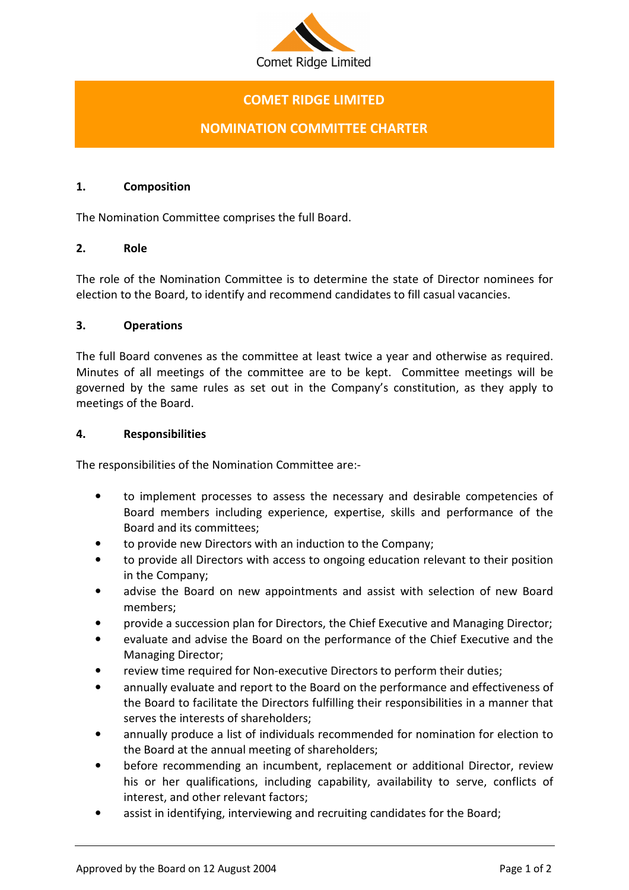

# COMET RIDGE LIMITED

## NOMINATION COMMITTEE CHARTER

#### 1. Composition

The Nomination Committee comprises the full Board.

#### 2. Role

The role of the Nomination Committee is to determine the state of Director nominees for election to the Board, to identify and recommend candidates to fill casual vacancies.

#### 3. Operations

The full Board convenes as the committee at least twice a year and otherwise as required. Minutes of all meetings of the committee are to be kept. Committee meetings will be governed by the same rules as set out in the Company's constitution, as they apply to meetings of the Board.

#### 4. Responsibilities

The responsibilities of the Nomination Committee are:-

- to implement processes to assess the necessary and desirable competencies of Board members including experience, expertise, skills and performance of the Board and its committees;
- to provide new Directors with an induction to the Company;
- to provide all Directors with access to ongoing education relevant to their position in the Company;
- advise the Board on new appointments and assist with selection of new Board members;
- provide a succession plan for Directors, the Chief Executive and Managing Director;
- evaluate and advise the Board on the performance of the Chief Executive and the Managing Director;
- review time required for Non-executive Directors to perform their duties;
- annually evaluate and report to the Board on the performance and effectiveness of the Board to facilitate the Directors fulfilling their responsibilities in a manner that serves the interests of shareholders;
- annually produce a list of individuals recommended for nomination for election to the Board at the annual meeting of shareholders;
- before recommending an incumbent, replacement or additional Director, review his or her qualifications, including capability, availability to serve, conflicts of interest, and other relevant factors;
- assist in identifying, interviewing and recruiting candidates for the Board;